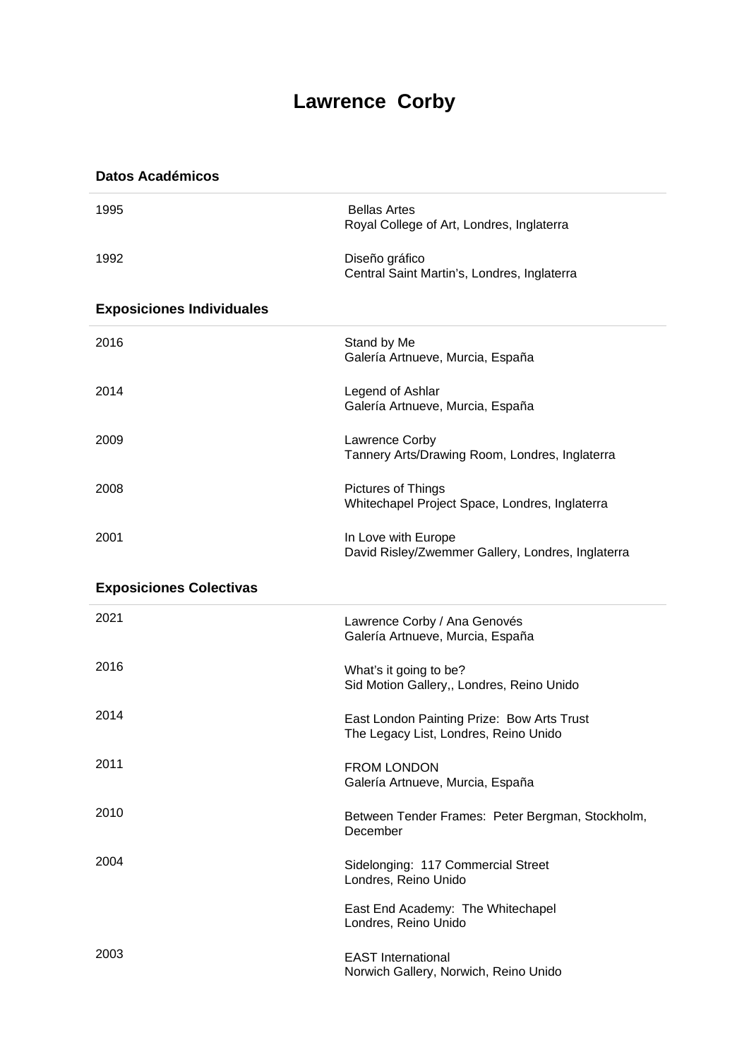## **Lawrence Corby**

**Datos Académicos**

| 1995                             | <b>Bellas Artes</b><br>Royal College of Art, Londres, Inglaterra                    |
|----------------------------------|-------------------------------------------------------------------------------------|
| 1992                             | Diseño gráfico<br>Central Saint Martin's, Londres, Inglaterra                       |
| <b>Exposiciones Individuales</b> |                                                                                     |
| 2016                             | Stand by Me<br>Galería Artnueve, Murcia, España                                     |
| 2014                             | Legend of Ashlar<br>Galería Artnueve, Murcia, España                                |
| 2009                             | Lawrence Corby<br>Tannery Arts/Drawing Room, Londres, Inglaterra                    |
| 2008                             | Pictures of Things<br>Whitechapel Project Space, Londres, Inglaterra                |
| 2001                             | In Love with Europe<br>David Risley/Zwemmer Gallery, Londres, Inglaterra            |
| <b>Exposiciones Colectivas</b>   |                                                                                     |
| 2021                             | Lawrence Corby / Ana Genovés<br>Galería Artnueve, Murcia, España                    |
| 2016                             | What's it going to be?<br>Sid Motion Gallery,, Londres, Reino Unido                 |
| 2014                             | East London Painting Prize: Bow Arts Trust<br>The Legacy List, Londres, Reino Unido |
| 2011                             | <b>FROM LONDON</b><br>Galería Artnueve, Murcia, España                              |
| 2010                             | Between Tender Frames: Peter Bergman, Stockholm,<br>December                        |
| 2004                             | Sidelonging: 117 Commercial Street<br>Londres, Reino Unido                          |
|                                  | East End Academy: The Whitechapel<br>Londres, Reino Unido                           |
| 2003                             | <b>EAST International</b><br>Norwich Gallery, Norwich, Reino Unido                  |